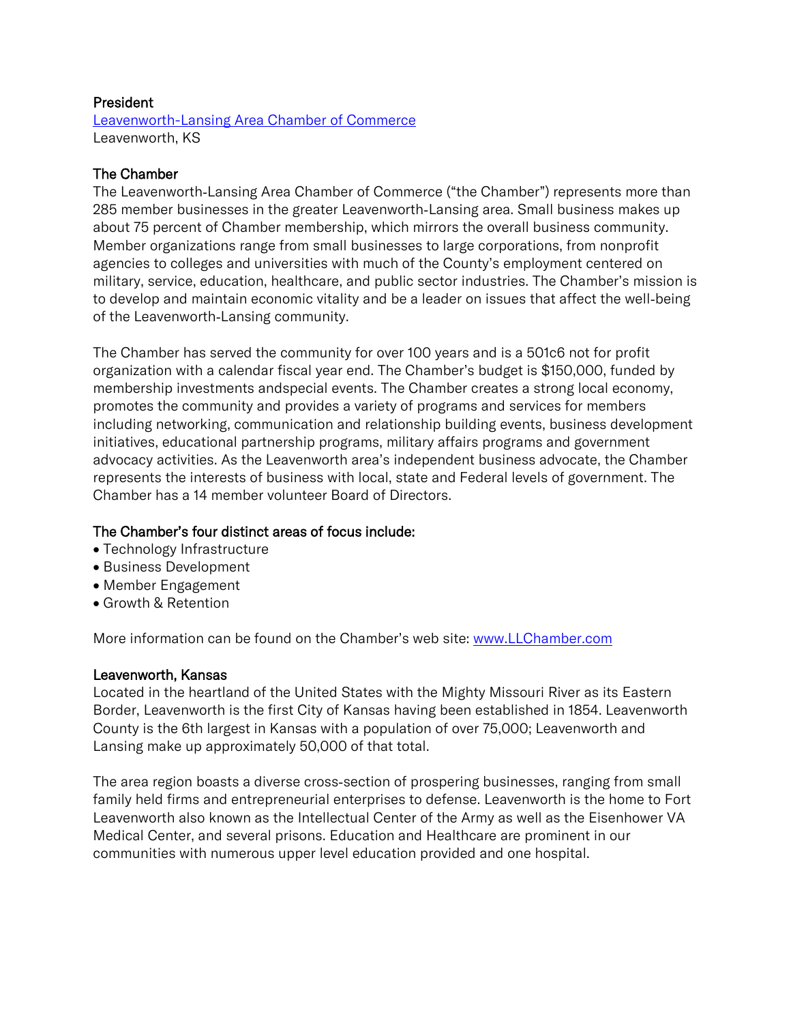## President

[Leavenworth-Lansing Area Chamber of Commerce](https://www.llchamber.com/) Leavenworth, KS

# The Chamber

The Leavenworth‐Lansing Area Chamber of Commerce ("the Chamber") represents more than 285 member businesses in the greater Leavenworth‐Lansing area. Small business makes up about 75 percent of Chamber membership, which mirrors the overall business community. Member organizations range from small businesses to large corporations, from nonprofit agencies to colleges and universities with much of the County's employment centered on military, service, education, healthcare, and public sector industries. The Chamber's mission is to develop and maintain economic vitality and be a leader on issues that affect the well‐being of the Leavenworth‐Lansing community.

The Chamber has served the community for over 100 years and is a 501c6 not for profit organization with a calendar fiscal year end. The Chamber's budget is \$150,000, funded by membership investments andspecial events. The Chamber creates a strong local economy, promotes the community and provides a variety of programs and services for members including networking, communication and relationship building events, business development initiatives, educational partnership programs, military affairs programs and government advocacy activities. As the Leavenworth area's independent business advocate, the Chamber represents the interests of business with local, state and Federal levels of government. The Chamber has a 14 member volunteer Board of Directors.

# The Chamber's four distinct areas of focus include:

- Technology Infrastructure
- Business Development
- Member Engagement
- Growth & Retention

More information can be found on the Chamber's web site: [www.LLChamber.com](http://www.llchamber.com/)

### Leavenworth, Kansas

Located in the heartland of the United States with the Mighty Missouri River as its Eastern Border, Leavenworth is the first City of Kansas having been established in 1854. Leavenworth County is the 6th largest in Kansas with a population of over 75,000; Leavenworth and Lansing make up approximately 50,000 of that total.

The area region boasts a diverse cross‐section of prospering businesses, ranging from small family held firms and entrepreneurial enterprises to defense. Leavenworth is the home to Fort Leavenworth also known as the Intellectual Center of the Army as well as the Eisenhower VA Medical Center, and several prisons. Education and Healthcare are prominent in our communities with numerous upper level education provided and one hospital.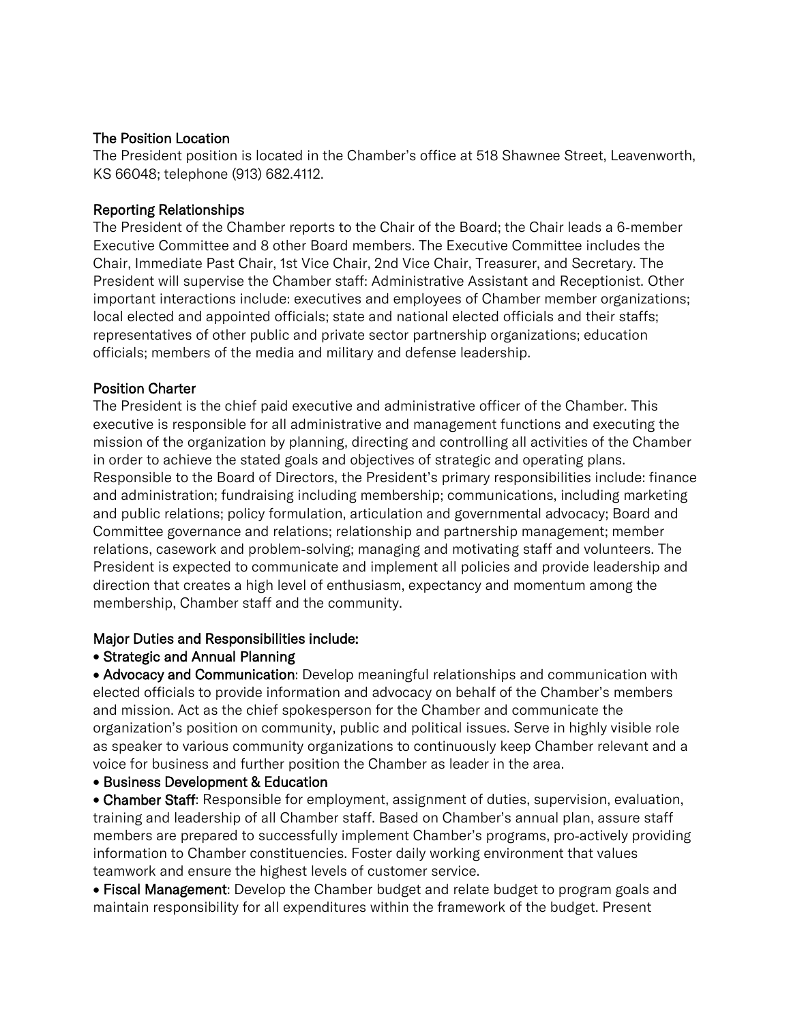# The Position Location

The President position is located in the Chamber's office at 518 Shawnee Street, Leavenworth, KS 66048; telephone (913) 682.4112.

## Reporting Relationships

The President of the Chamber reports to the Chair of the Board; the Chair leads a 6‐member Executive Committee and 8 other Board members. The Executive Committee includes the Chair, Immediate Past Chair, 1st Vice Chair, 2nd Vice Chair, Treasurer, and Secretary. The President will supervise the Chamber staff: Administrative Assistant and Receptionist. Other important interactions include: executives and employees of Chamber member organizations; local elected and appointed officials; state and national elected officials and their staffs; representatives of other public and private sector partnership organizations; education officials; members of the media and military and defense leadership.

## Position Charter

The President is the chief paid executive and administrative officer of the Chamber. This executive is responsible for all administrative and management functions and executing the mission of the organization by planning, directing and controlling all activities of the Chamber in order to achieve the stated goals and objectives of strategic and operating plans. Responsible to the Board of Directors, the President's primary responsibilities include: finance and administration; fundraising including membership; communications, including marketing and public relations; policy formulation, articulation and governmental advocacy; Board and Committee governance and relations; relationship and partnership management; member relations, casework and problem‐solving; managing and motivating staff and volunteers. The President is expected to communicate and implement all policies and provide leadership and direction that creates a high level of enthusiasm, expectancy and momentum among the membership, Chamber staff and the community.

### Major Duties and Responsibilities include:

# • Strategic and Annual Planning

• Advocacy and Communication: Develop meaningful relationships and communication with elected officials to provide information and advocacy on behalf of the Chamber's members and mission. Act as the chief spokesperson for the Chamber and communicate the organization's position on community, public and political issues. Serve in highly visible role as speaker to various community organizations to continuously keep Chamber relevant and a voice for business and further position the Chamber as leader in the area.

### • Business Development & Education

• Chamber Staff: Responsible for employment, assignment of duties, supervision, evaluation, training and leadership of all Chamber staff. Based on Chamber's annual plan, assure staff members are prepared to successfully implement Chamber's programs, pro‐actively providing information to Chamber constituencies. Foster daily working environment that values teamwork and ensure the highest levels of customer service.

• Fiscal Management: Develop the Chamber budget and relate budget to program goals and maintain responsibility for all expenditures within the framework of the budget. Present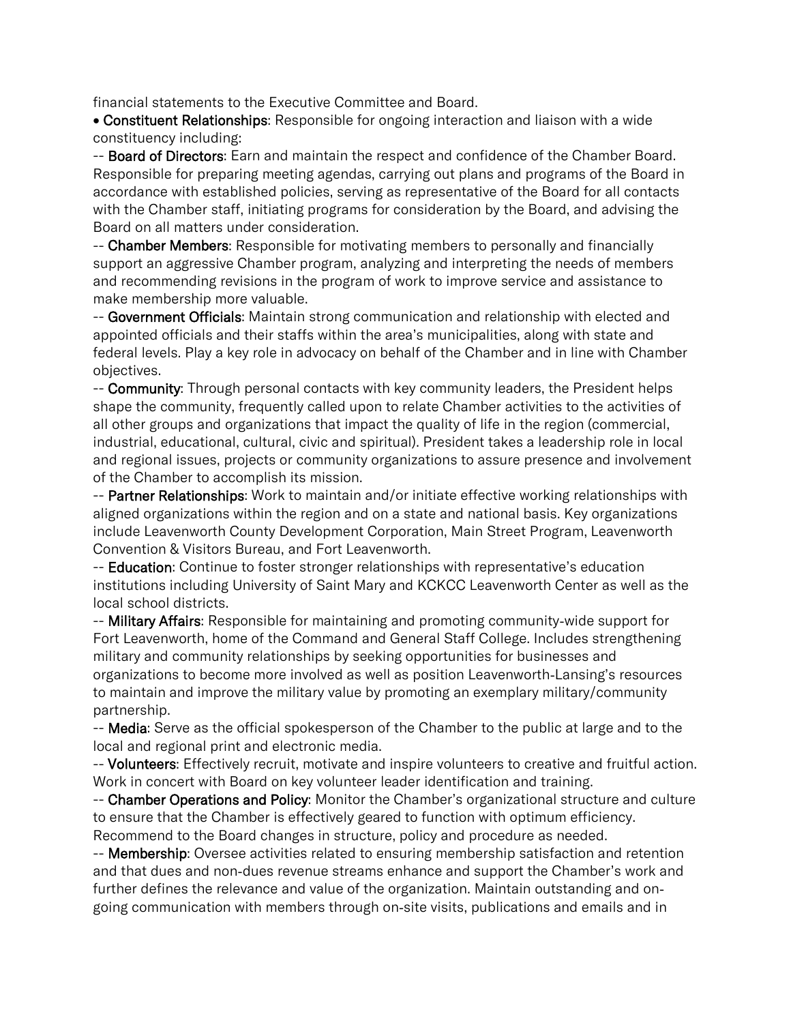financial statements to the Executive Committee and Board.

• Constituent Relationships: Responsible for ongoing interaction and liaison with a wide constituency including:

-- Board of Directors: Earn and maintain the respect and confidence of the Chamber Board. Responsible for preparing meeting agendas, carrying out plans and programs of the Board in accordance with established policies, serving as representative of the Board for all contacts with the Chamber staff, initiating programs for consideration by the Board, and advising the Board on all matters under consideration.

-- Chamber Members: Responsible for motivating members to personally and financially support an aggressive Chamber program, analyzing and interpreting the needs of members and recommending revisions in the program of work to improve service and assistance to make membership more valuable.

-- Government Officials: Maintain strong communication and relationship with elected and appointed officials and their staffs within the area's municipalities, along with state and federal levels. Play a key role in advocacy on behalf of the Chamber and in line with Chamber objectives.

-- Community: Through personal contacts with key community leaders, the President helps shape the community, frequently called upon to relate Chamber activities to the activities of all other groups and organizations that impact the quality of life in the region (commercial, industrial, educational, cultural, civic and spiritual). President takes a leadership role in local and regional issues, projects or community organizations to assure presence and involvement of the Chamber to accomplish its mission.

-- Partner Relationships: Work to maintain and/or initiate effective working relationships with aligned organizations within the region and on a state and national basis. Key organizations include Leavenworth County Development Corporation, Main Street Program, Leavenworth Convention & Visitors Bureau, and Fort Leavenworth.

-- **Education**: Continue to foster stronger relationships with representative's education institutions including University of Saint Mary and KCKCC Leavenworth Center as well as the local school districts.

-- Military Affairs: Responsible for maintaining and promoting community-wide support for Fort Leavenworth, home of the Command and General Staff College. Includes strengthening military and community relationships by seeking opportunities for businesses and organizations to become more involved as well as position Leavenworth‐Lansing's resources to maintain and improve the military value by promoting an exemplary military/community partnership.

-- Media: Serve as the official spokesperson of the Chamber to the public at large and to the local and regional print and electronic media.

-- Volunteers: Effectively recruit, motivate and inspire volunteers to creative and fruitful action. Work in concert with Board on key volunteer leader identification and training.

-- Chamber Operations and Policy: Monitor the Chamber's organizational structure and culture to ensure that the Chamber is effectively geared to function with optimum efficiency. Recommend to the Board changes in structure, policy and procedure as needed.

-- Membership: Oversee activities related to ensuring membership satisfaction and retention and that dues and non‐dues revenue streams enhance and support the Chamber's work and further defines the relevance and value of the organization. Maintain outstanding and on‐ going communication with members through on‐site visits, publications and emails and in